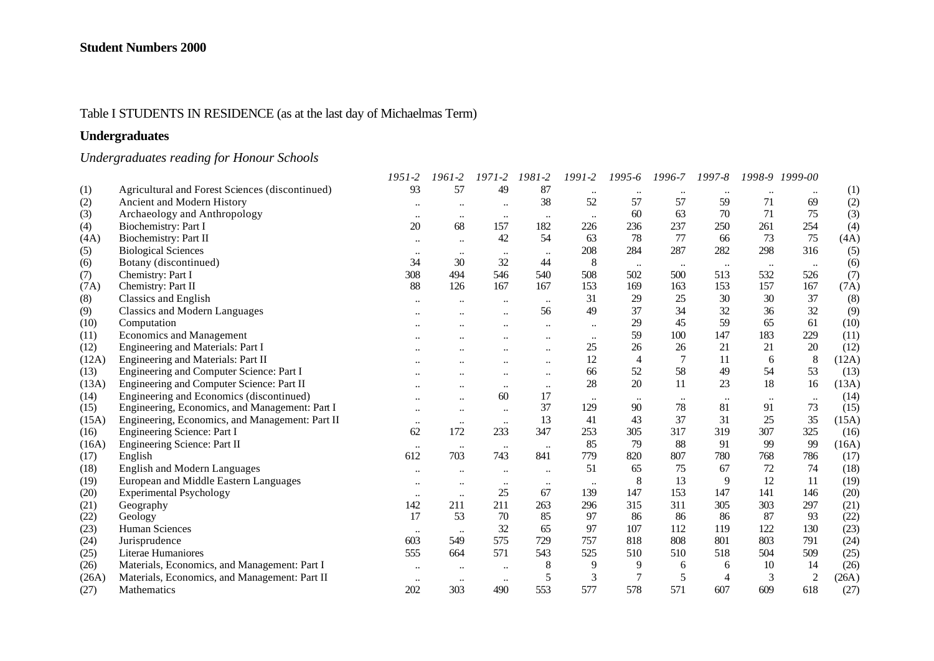## Table I STUDENTS IN RESIDENCE (as at the last day of Michaelmas Term)

## **Undergraduates**

# *Undergraduates reading for Honour Schools*

|       |                                                 | 1951-2           | 1961-2               | $1971 - 2$           | 1981-2               | 1991-2    | 1995-6         | 1996-7               | 1997-8         | 1998-9    | 1999-00        |       |
|-------|-------------------------------------------------|------------------|----------------------|----------------------|----------------------|-----------|----------------|----------------------|----------------|-----------|----------------|-------|
| (1)   | Agricultural and Forest Sciences (discontinued) | 93               | 57                   | 49                   | 87                   | $\ddotsc$ | $\ddotsc$      |                      |                |           | $\ddotsc$      | (1)   |
| (2)   | Ancient and Modern History                      | $\cdots$         |                      |                      | 38                   | 52        | 57             | 57                   | 59             | 71        | 69             | (2)   |
| (3)   | Archaeology and Anthropology                    | $\ddotsc$        | $\ddotsc$            | $\ldots$             | $\ddotsc$            | $\ddotsc$ | 60             | 63                   | 70             | 71        | 75             | (3)   |
| (4)   | Biochemistry: Part I                            | 20               | 68                   | 157                  | 182                  | 226       | 236            | 237                  | 250            | 261       | 254            | (4)   |
| (4A)  | Biochemistry: Part II                           | $\ddotsc$        | $\ddotsc$            | 42                   | 54                   | 63        | 78             | 77                   | 66             | 73        | 75             | (4A)  |
| (5)   | <b>Biological Sciences</b>                      | $\bullet\bullet$ | $\bullet\bullet$     | $\ddotsc$            | $\ddotsc$            | 208       | 284            | 287                  | 282            | 298       | 316            | (5)   |
| (6)   | Botany (discontinued)                           | 34               | 30                   | 32                   | 44                   | 8         | $\ldots$       | $\ddot{\phantom{0}}$ | $\ldots$       | $\ddotsc$ | $\ldots$       | (6)   |
| (7)   | Chemistry: Part I                               | 308              | 494                  | 546                  | 540                  | 508       | 502            | 500                  | 513            | 532       | 526            | (7)   |
| (7A)  | Chemistry: Part II                              | 88               | 126                  | 167                  | 167                  | 153       | 169            | 163                  | 153            | 157       | 167            | (7A)  |
| (8)   | <b>Classics and English</b>                     | $\ddotsc$        | $\ddot{\phantom{a}}$ | $\ddotsc$            | $\ddotsc$            | 31        | 29             | 25                   | 30             | 30        | 37             | (8)   |
| (9)   | <b>Classics and Modern Languages</b>            |                  |                      |                      | 56                   | 49        | 37             | 34                   | 32             | 36        | 32             | (9)   |
| (10)  | Computation                                     |                  |                      |                      | $\ddotsc$            | $\ddotsc$ | 29             | 45                   | 59             | 65        | 61             | (10)  |
| (11)  | <b>Economics and Management</b>                 |                  |                      |                      |                      | $\ddotsc$ | 59             | 100                  | 147            | 183       | 229            | (11)  |
| (12)  | Engineering and Materials: Part I               |                  |                      |                      | $\ddotsc$            | 25        | 26             | 26                   | 21             | 21        | 20             | (12)  |
| (12A) | Engineering and Materials: Part II              |                  |                      |                      | $\ddot{\phantom{a}}$ | 12        | $\overline{4}$ |                      | 11             | 6         | 8              | (12A) |
| (13)  | Engineering and Computer Science: Part I        |                  |                      | $\ddot{\phantom{a}}$ | $\ddotsc$            | 66        | 52             | 58                   | 49             | 54        | 53             | (13)  |
| (13A) | Engineering and Computer Science: Part II       |                  |                      | $\ddotsc$            | $\ddotsc$            | 28        | 20             | 11                   | 23             | 18        | 16             | (13A) |
| (14)  | Engineering and Economics (discontinued)        |                  | $\ddot{\phantom{a}}$ | 60                   | 17                   | $\ddotsc$ | $\ddotsc$      |                      |                | $\ddotsc$ | $\ddotsc$      | (14)  |
| (15)  | Engineering, Economics, and Management: Part I  | $\ddotsc$        | $\ddotsc$            | $\ddotsc$            | 37                   | 129       | 90             | 78                   | 81             | 91        | 73             | (15)  |
| (15A) | Engineering, Economics, and Management: Part II | $\ddotsc$        | $\ddotsc$            | $\ddotsc$            | 13                   | 41        | 43             | 37                   | 31             | 25        | 35             | (15A) |
| (16)  | Engineering Science: Part I                     | 62               | 172                  | 233                  | 347                  | 253       | 305            | 317                  | 319            | 307       | 325            | (16)  |
| (16A) | Engineering Science: Part II                    | $\ddotsc$        | $\ddotsc$            | $\ddotsc$            | $\cdot\cdot$         | 85        | 79             | 88                   | 91             | 99        | 99             | (16A) |
| (17)  | English                                         | 612              | 703                  | 743                  | 841                  | 779       | 820            | 807                  | 780            | 768       | 786            | (17)  |
| (18)  | <b>English and Modern Languages</b>             | $\cdots$         |                      | $\ldots$             | $\ddotsc$            | 51        | 65             | 75                   | 67             | 72        | 74             | (18)  |
| (19)  | European and Middle Eastern Languages           | $\ddotsc$        | $\ddotsc$            | $\ddotsc$            | $\ddotsc$            | $\ddotsc$ | 8              | 13                   | 9              | 12        | 11             | (19)  |
| (20)  | <b>Experimental Psychology</b>                  | $\ddotsc$        | $\ddotsc$            | 25                   | 67                   | 139       | 147            | 153                  | 147            | 141       | 146            | (20)  |
| (21)  | Geography                                       | 142              | 211                  | 211                  | 263                  | 296       | 315            | 311                  | 305            | 303       | 297            | (21)  |
| (22)  | Geology                                         | 17               | 53                   | 70                   | 85                   | 97        | 86             | 86                   | 86             | 87        | 93             | (22)  |
| (23)  | <b>Human Sciences</b>                           | $\cdots$         | $\bullet\bullet$     | 32                   | 65                   | 97        | 107            | 112                  | 119            | 122       | 130            | (23)  |
| (24)  | Jurisprudence                                   | 603              | 549                  | 575                  | 729                  | 757       | 818            | 808                  | 801            | 803       | 791            | (24)  |
| (25)  | Literae Humaniores                              | 555              | 664                  | 571                  | 543                  | 525       | 510            | 510                  | 518            | 504       | 509            | (25)  |
| (26)  | Materials, Economics, and Management: Part I    | $\cdots$         | $\ddotsc$            | $\ddotsc$            | 8                    | 9         | 9              | 6                    | 6              | 10        | 14             | (26)  |
| (26A) | Materials, Economics, and Management: Part II   | $\ddotsc$        | $\ldots$             | $\ldots$             | 5                    | 3         | 7              | 5                    | $\overline{4}$ | 3         | $\overline{c}$ | (26A) |
| (27)  | Mathematics                                     | 202              | 303                  | 490                  | 553                  | 577       | 578            | 571                  | 607            | 609       | 618            | (27)  |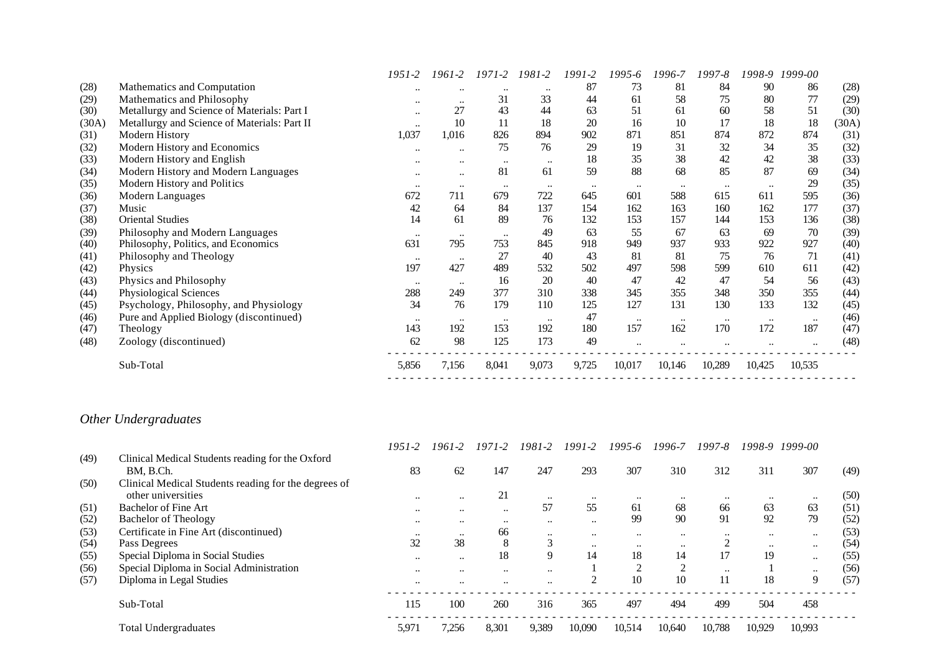|       |                                              | 1951-2       | 1961-2               | 1971-2           | 1981-2    | 1991-2   | 1995-6       | 1996-7    | 1997-8    |           | 1998-9 1999-00 |       |
|-------|----------------------------------------------|--------------|----------------------|------------------|-----------|----------|--------------|-----------|-----------|-----------|----------------|-------|
| (28)  | Mathematics and Computation                  | $\ddotsc$    | $\ddot{\phantom{0}}$ | $\bullet\bullet$ |           | 87       | 73           | 81        | 84        | 90        | 86             | (28)  |
| (29)  | Mathematics and Philosophy                   | $\cdots$     | $\bullet\bullet$     | 31               | 33        | 44       | 61           | 58        | 75        | 80        | 77             | (29)  |
| (30)  | Metallurgy and Science of Materials: Part I  | $\ddotsc$    | 27                   | 43               | 44        | 63       | 51           | 61        | 60        | 58        | 51             | (30)  |
| (30A) | Metallurgy and Science of Materials: Part II | $\ddotsc$    | 10                   | 11               | 18        | 20       | 16           | 10        | 17        | 18        | 18             | (30A) |
| (31)  | Modern History                               | 1,037        | 1,016                | 826              | 894       | 902      | 871          | 851       | 874       | 872       | 874            | (31)  |
| (32)  | Modern History and Economics                 | $\cdots$     | $\bullet\bullet$     | 75               | 76        | 29       | 19           | 31        | 32        | 34        | 35             | (32)  |
| (33)  | Modern History and English                   |              | $\cdot$              |                  | $\ddotsc$ | 18       | 35           | 38        | 42        | 42        | 38             | (33)  |
| (34)  | Modern History and Modern Languages          | $\ddotsc$    | $\ddotsc$            | 81               | 61        | 59       | 88           | 68        | 85        | 87        | 69             | (34)  |
| (35)  | Modern History and Politics                  | $\cdots$     | $\bullet\bullet$     | $\bullet\bullet$ | $\ddotsc$ | $\cdots$ | $\cdot\cdot$ | $\ddotsc$ | $\ddotsc$ | $\ddotsc$ | 29             | (35)  |
| (36)  | Modern Languages                             | 672          | 711                  | 679              | 722       | 645      | 601          | 588       | 615       | 611       | 595            | (36)  |
| (37)  | Music                                        | 42           | 64                   | 84               | 137       | 154      | 162          | 163       | 160       | 162       | 177            | (37)  |
| (38)  | <b>Oriental Studies</b>                      | 14           | 61                   | 89               | 76        | 132      | 153          | 157       | 144       | 153       | 136            | (38)  |
| (39)  | Philosophy and Modern Languages              | $\cdot\cdot$ | $\bullet\bullet$     | $\bullet\bullet$ | 49        | 63       | 55           | 67        | 63        | 69        | 70             | (39)  |
| (40)  | Philosophy, Politics, and Economics          | 631          | 795                  | 753              | 845       | 918      | 949          | 937       | 933       | 922       | 927            | (40)  |
| (41)  | Philosophy and Theology                      | $\ddotsc$    | $\cdots$             | 27               | 40        | 43       | 81           | 81        | 75        | 76        | 71             | (41)  |
| (42)  | <b>Physics</b>                               | 197          | 427                  | 489              | 532       | 502      | 497          | 598       | 599       | 610       | 611            | (42)  |
| (43)  | Physics and Philosophy                       | $\ddotsc$    | $\bullet\bullet$     | 16               | 20        | 40       | 47           | 42        | 47        | 54        | 56             | (43)  |
| (44)  | Physiological Sciences                       | 288          | 249                  | 377              | 310       | 338      | 345          | 355       | 348       | 350       | 355            | (44)  |
| (45)  | Psychology, Philosophy, and Physiology       | 34           | 76                   | 179              | 110       | 125      | 127          | 131       | 130       | 133       | 132            | (45)  |
| (46)  | Pure and Applied Biology (discontinued)      | $\ddotsc$    | $\cdots$             | $\ddotsc$        | $\ddotsc$ | 47       | $\ddotsc$    | $\ddotsc$ | $\ddotsc$ | $\ddotsc$ | $\ddotsc$      | (46)  |
| (47)  | Theology                                     | 143          | 192                  | 153              | 192       | 180      | 157          | 162       | 170       | 172       | 187            | (47)  |
| (48)  | Zoology (discontinued)                       | 62           | 98                   | 125              | 173       | 49       | $\ddotsc$    |           |           |           | $\ddotsc$      | (48)  |
|       | Sub-Total                                    | 5,856        | 7,156                | 8,041            | 9,073     | 9,725    | 10,017       | 10,146    | 10,289    | 10,425    | 10,535         |       |

## *Other Undergraduates*

|      |                                                      | $1951 - 2$           | 1961-2        | 1971-2       | $1981 - 2$           | $1991 - 2$   | $1995 - 6$ | 1996-7    | 1997-8    |           | 1998-9 1999-00 |      |
|------|------------------------------------------------------|----------------------|---------------|--------------|----------------------|--------------|------------|-----------|-----------|-----------|----------------|------|
| (49) | Clinical Medical Students reading for the Oxford     |                      |               |              |                      |              |            |           |           |           |                |      |
|      | BM. B.Ch.                                            | 83                   | 62            | 147          | 247                  | 293          | 307        | 310       | 312       | 311       | 307            | (49) |
| (50) | Clinical Medical Students reading for the degrees of |                      |               |              |                      |              |            |           |           |           |                |      |
|      | other universities                                   | $\ddotsc$            | $\ddotsc$     | 21           |                      | $\ddotsc$    | $\ddotsc$  | $\ddotsc$ | $\ddotsc$ | $\ddotsc$ | $\ddotsc$      | (50) |
| (51) | <b>Bachelor of Fine Art</b>                          | $\ddotsc$            | $\ddotsc$     | $\ddotsc$    | 57                   | 55           | 61         | 68        | 66        | 63        | 63             | (51) |
| (52) | <b>Bachelor of Theology</b>                          | $\cdot$              | $\ddotsc$     | $\cdot\cdot$ | $\ddot{\phantom{0}}$ | $\cdot\cdot$ | 99         | 90        | 91        | 92        | 79             | (52) |
| (53) | Certificate in Fine Art (discontinued)               | $\ddotsc$            | $\cdot \cdot$ | 66           | $\ddotsc$            | $\ddotsc$    | $\ddotsc$  | $\ddotsc$ | $\ddotsc$ | $\ddotsc$ | $\ddotsc$      | (53) |
| (54) | Pass Degrees                                         | 32                   | 38            | 8            | 3                    | $\ddotsc$    | $\ddotsc$  | $\ddotsc$ |           | $\ddotsc$ | $\ddotsc$      | (54) |
| (55) | Special Diploma in Social Studies                    | $\ddotsc$            | $\ddotsc$     | 18           | $\mathbf Q$          | 14           | 18         | 14        | 17        | 19        | $\ddotsc$      | (55) |
| (56) | Special Diploma in Social Administration             | $\ddot{\phantom{0}}$ | $\ddotsc$     | $\ddotsc$    | $\ddot{\phantom{0}}$ |              | $\bigcap$  | $\bigcap$ | $\cdot$ . |           | $\ddotsc$      | (56) |
| (57) | Diploma in Legal Studies                             | $\ddotsc$            | $\ddotsc$     | $\cdot$      | $\ddotsc$            |              | 10         | 10        | 11        | 18        | 9              | (57) |
|      | Sub-Total                                            | 115                  | 100           | 260          | 316                  | 365          | 497        | 494       | 499       | 504       | 458            |      |
|      | <b>Total Undergraduates</b>                          | 5,971                | 7,256         | 8,301        | 9,389                | 10.090       | 10.514     | 10.640    | 10.788    | 10.929    | 10.993         |      |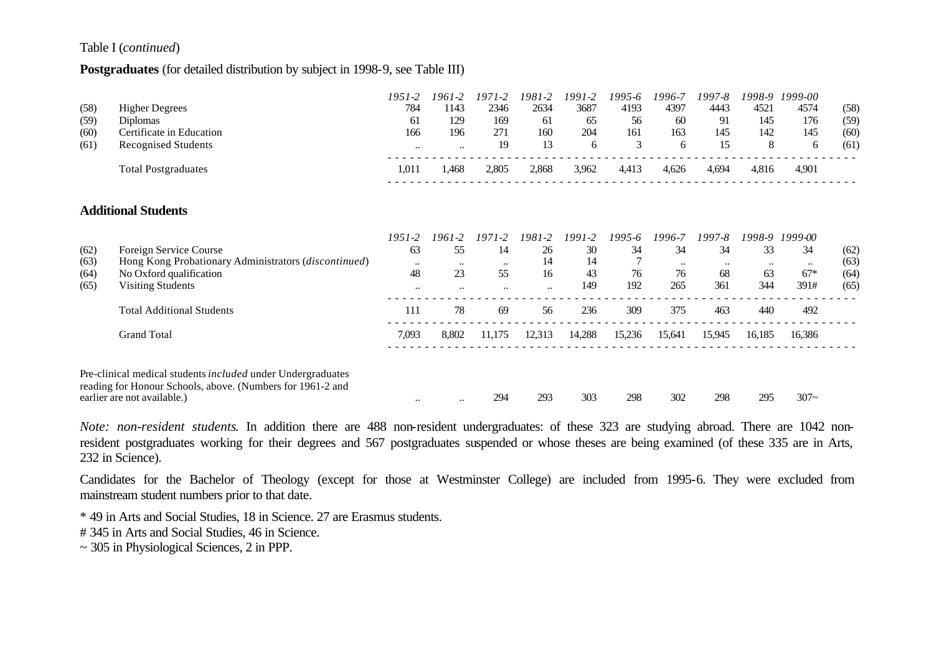#### Table I (*continued*)

#### **Postgraduates** (for detailed distribution by subject in 1998-9, see Table III)

|      |                                                                                                                                                          | 1951-2           | 1961-2               | $1971 - 2$           | 1981-2    | 1991-2 | 1995-6 | 1996-7    | 1997-8 | 1998-9 | 1999-00              |      |
|------|----------------------------------------------------------------------------------------------------------------------------------------------------------|------------------|----------------------|----------------------|-----------|--------|--------|-----------|--------|--------|----------------------|------|
| (58) | <b>Higher Degrees</b>                                                                                                                                    | 784              | 1143                 | 2346                 | 2634      | 3687   | 4193   | 4397      | 4443   | 4521   | 4574                 | (58) |
| (59) | <b>Diplomas</b>                                                                                                                                          | 61               | 129                  | 169                  | 61        | 65     | 56     | 60        | 91     | 145    | 176                  | (59) |
| (60) | Certificate in Education                                                                                                                                 | 166              | 196                  | 271                  | 160       | 204    | 161    | 163       | 145    | 142    | 145                  | (60) |
| (61) | <b>Recognised Students</b>                                                                                                                               | $\ddotsc$        | $\ddotsc$            | 19                   | 13        | 6      | 3      | 6         | 15     | 8      | 6                    | (61) |
|      | <b>Total Postgraduates</b>                                                                                                                               | 1,011            | 1,468                | 2,805                | 2,868     | 3,962  | 4,413  | 4,626     | 4,694  | 4,816  | 4,901                |      |
|      | <b>Additional Students</b>                                                                                                                               |                  |                      |                      |           |        |        |           |        |        |                      |      |
|      |                                                                                                                                                          |                  |                      |                      |           |        |        |           |        |        |                      |      |
|      |                                                                                                                                                          | 1951-2           | $1961 - 2$           | $1971 - 2$           | 1981-2    | 1991-2 | 1995-6 | 1996-7    | 1997-8 | 1998-9 | 1999-00              |      |
| (62) | Foreign Service Course                                                                                                                                   | 63               | 55                   | 14                   | 26        | 30     | 34     | 34        | 34     | 33     | 34                   | (62) |
| (63) | Hong Kong Probationary Administrators (discontinued)                                                                                                     | $\bullet\bullet$ | $\ddot{\phantom{0}}$ | $\ddotsc$            | 14        | 14     |        | $\ddotsc$ |        |        | $\ddot{\phantom{0}}$ | (63) |
| (64) | No Oxford qualification                                                                                                                                  | 48               | 23                   | 55                   | 16        | 43     | 76     | 76        | 68     | 63     | $67*$                | (64) |
| (65) | Visiting Students                                                                                                                                        | $\ddotsc$        | $\ddotsc$            | $\ddot{\phantom{a}}$ | $\ddotsc$ | 149    | 192    | 265       | 361    | 344    | 391#                 | (65) |
|      | <b>Total Additional Students</b>                                                                                                                         | 111              | 78                   | 69                   | 56        | 236    | 309    | 375       | 463    | 440    | 492                  |      |
|      | <b>Grand Total</b>                                                                                                                                       | 7,093            | 8,802                | 11,175               | 12,313    | 14,288 | 15,236 | 15,641    | 15,945 | 16,185 | 16,386               |      |
|      | Pre-clinical medical students included under Undergraduates<br>reading for Honour Schools, above. (Numbers for 1961-2 and<br>earlier are not available.) |                  |                      | 294                  | 293       | 303    | 298    | 302       | 298    | 295    | $307 -$              |      |
|      |                                                                                                                                                          | $\ddotsc$        | $\ddotsc$            |                      |           |        |        |           |        |        |                      |      |

*Note: non-resident students*. In addition there are 488 non-resident undergraduates: of these 323 are studying abroad. There are 1042 nonresident postgraduates working for their degrees and 567 postgraduates suspended or whose theses are being examined (of these 335 are in Arts, 232 in Science).

Candidates for the Bachelor of Theology (except for those at Westminster College) are included from 1995-6. They were excluded from mainstream student numbers prior to that date.

\* 49 in Arts and Social Studies, 18 in Science. 27 are Erasmus students.

# 345 in Arts and Social Studies, 46 in Science.

~ 305 in Physiological Sciences, 2 in PPP.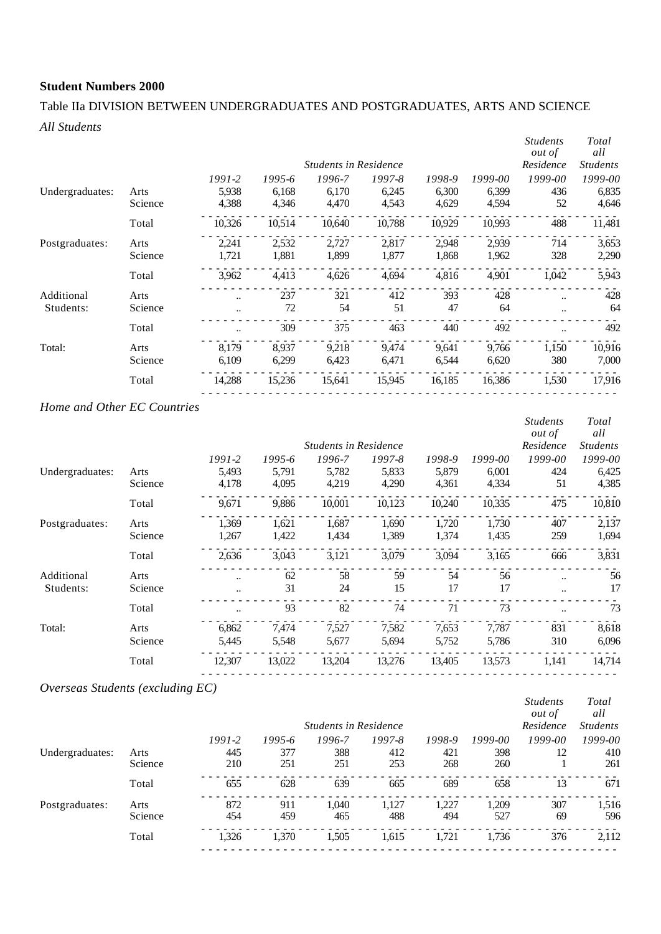## Table IIa DIVISION BETWEEN UNDERGRADUATES AND POSTGRADUATES, ARTS AND SCIENCE *All Students*

|                         |                 |                |                | <b>Students in Residence</b> |                |                |                | <b>Students</b><br><i>out of</i><br>Residence | Total<br>all<br><b>Students</b> |
|-------------------------|-----------------|----------------|----------------|------------------------------|----------------|----------------|----------------|-----------------------------------------------|---------------------------------|
|                         |                 | $1991 - 2$     | 1995-6         | 1996-7                       | 1997-8         | 1998-9         | 1999-00        | 1999-00                                       | 1999-00                         |
| Undergraduates:         | Arts<br>Science | 5,938<br>4,388 | 6,168<br>4,346 | 6,170<br>4,470               | 6,245<br>4,543 | 6,300<br>4,629 | 6,399<br>4,594 | 436<br>52                                     | 6,835<br>4,646                  |
|                         | Total           | 10,326         | 10,514         | 10,640                       | 10,788         | 10,929         | 10,993         | 488                                           | 11,481                          |
| Postgraduates:          | Arts            | 2,241          | 2,532          | 2,727                        | 2,817          | 2,948          | 2,939          | 714                                           | 3,653                           |
|                         | Science         | 1,721          | 1,881          | 1,899                        | 1,877          | 1,868          | 1,962          | 328                                           | 2,290                           |
|                         | Total           | 3,962          | 4,413          | 4,626                        | 4,694          | 4,816          | 4,901          | 1,042                                         | 5,943                           |
| Additional<br>Students: | Arts<br>Science | <br>$\ddotsc$  | 237<br>72      | 321<br>54                    | 412<br>51      | 393<br>47      | 428<br>64      | $\ddot{\phantom{a}}$<br>$\ddot{\phantom{a}}$  | 428<br>64                       |
|                         | Total           |                | 309            | 375                          | 463            | 440            | 492            |                                               | 492                             |
| Total:                  | Arts<br>Science | 8.179<br>6,109 | 8.937<br>6,299 | 9,218<br>6,423               | 9.474<br>6,471 | 9,641<br>6,544 | 9,766<br>6,620 | 1,150<br>380                                  | 10,916<br>7,000                 |
|                         | Total           | 14,288         | 15,236         | 15,641                       | 15,945         | 16,185         | 16,386         | 1,530                                         | 17,916                          |
|                         |                 |                |                |                              |                |                |                |                                               |                                 |

## *Home and Other EC Countries*

|                 |         |            |        |                              |            |        |         | <b>Students</b><br><i>out of</i> | Total<br>all    |
|-----------------|---------|------------|--------|------------------------------|------------|--------|---------|----------------------------------|-----------------|
|                 |         |            |        | <b>Students in Residence</b> |            |        |         | Residence                        | <b>Students</b> |
|                 |         | $1991 - 2$ | 1995-6 | 1996-7                       | $1997 - 8$ | 1998-9 | 1999-00 | 1999-00                          | 1999-00         |
| Undergraduates: | Arts    | 5,493      | 5,791  | 5,782                        | 5,833      | 5,879  | 6,001   | 424                              | 6,425           |
|                 | Science | 4,178      | 4,095  | 4,219                        | 4,290      | 4,361  | 4,334   | 51                               | 4,385           |
|                 | Total   | 9,671      | 9,886  | 10,001                       | 10,123     | 10,240 | 10,335  | 475                              | 10,810          |
| Postgraduates:  | Arts    | 1,369      | 1,621  | 1.687                        | 1,690      | 1,720  | 1,730   | 407                              | 2,137           |
|                 | Science | 1,267      | 1,422  | 1,434                        | 1,389      | 1,374  | 1,435   | 259                              | 1,694           |
|                 | Total   | 2,636      | 3,043  | 3,121                        | 3,079      | 3,094  | 3,165   | 666                              | 3,831           |
| Additional      | Arts    |            | 62     | 58                           | 59         | 54     | 56      | $\ddotsc$                        | 56              |
| Students:       | Science | $\ddotsc$  | 31     | 24                           | 15         | 17     | 17      | $\ddotsc$                        | 17              |
|                 | Total   |            | 93     | 82                           | 74         | 71     | 73      |                                  | 73              |
| Total:          | Arts    | 6.862      | 7,474  | 7,527                        | 7,582      | 7,653  | 7,787   | 831                              | 8,618           |
|                 | Science | 5,445      | 5,548  | 5,677                        | 5,694      | 5,752  | 5,786   | 310                              | 6,096           |
|                 | Total   | 12,307     | 13,022 | 13,204                       | 13,276     | 13,405 | 13,573  | 1,141                            | 14,714          |

## *Overseas Students (excluding EC)*

|                 |         |            |        | <b>Students in Residence</b> |            |        |         | <b>Students</b><br><i>out of</i><br>Residence | Total<br>all<br><i>Students</i> |
|-----------------|---------|------------|--------|------------------------------|------------|--------|---------|-----------------------------------------------|---------------------------------|
|                 |         | $1991 - 2$ | 1995-6 | 1996-7                       | $1997 - 8$ | 1998-9 | 1999-00 | $1999 - 00$                                   | 1999-00                         |
| Undergraduates: | Arts    | 445        | 377    | 388                          | 412        | 421    | 398     | 12                                            | 410                             |
|                 | Science | 210        | 251    | 251                          | 253        | 268    | 260     |                                               | 261                             |
|                 | Total   | 655        | 628    | 639                          | 665        | 689    | 658     | 13                                            | 671                             |
| Postgraduates:  | Arts    | 872        | 911    | 1.040                        | 1.127      | 1.227  | 1.209   | 307                                           | 1,516                           |
|                 | Science | 454        | 459    | 465                          | 488        | 494    | 527     | -69                                           | 596                             |
|                 | Total   | 1,326      | 1,370  | 1,505                        | 1,615      | 1.721  | 1,736   | 376                                           | 2,112                           |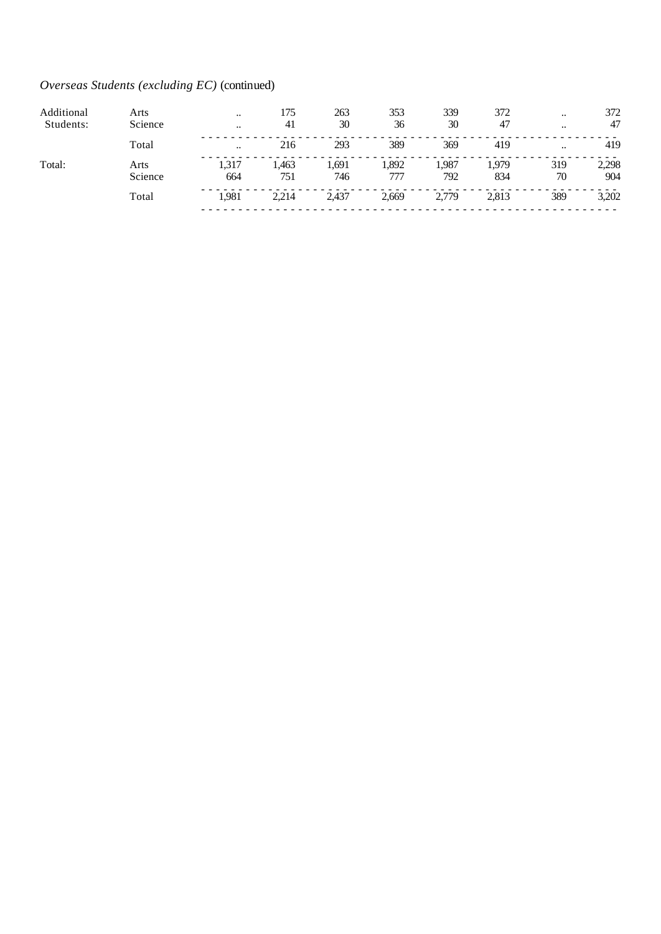## *Overseas Students (excluding EC)* (continued)

| Additional | Arts            | $\ddotsc$    | 175         | 263          | 353         | 339          | 372          | $\ddotsc$ | 372          |
|------------|-----------------|--------------|-------------|--------------|-------------|--------------|--------------|-----------|--------------|
| Students:  | Science         | $\ddotsc$    | 41          | 30           | 36          | 30           | 47           | $\ddotsc$ | 47           |
|            | Total           | $\ddotsc$    | 216         | 293          | 389         | 369          | 419          | $\ddotsc$ | 419          |
| Total:     | Arts<br>Science | 1,317<br>664 | .463<br>751 | 1,691<br>746 | .892<br>777 | 1,987<br>792 | 1,979<br>834 | 319<br>70 | 2,298<br>904 |
|            | Total           | 1.981        | 2,214       | 2.437        | 2,669       | 2,779        | 2,813        | 389       | 3,202        |
|            |                 |              |             |              |             |              |              |           |              |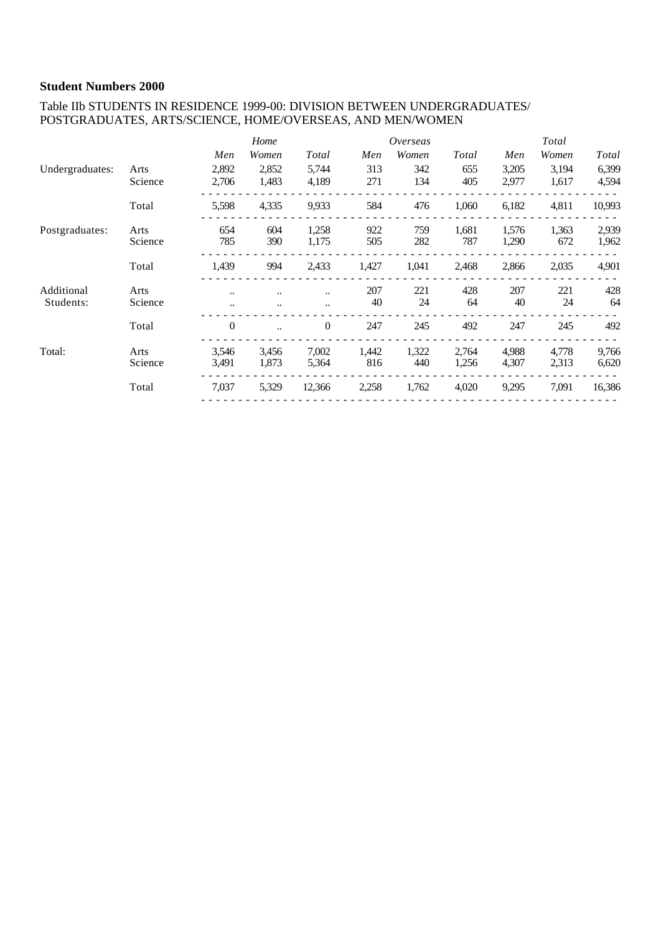#### Table IIb STUDENTS IN RESIDENCE 1999-00: DIVISION BETWEEN UNDERGRADUATES/ POSTGRADUATES, ARTS/SCIENCE, HOME/OVERSEAS, AND MEN/WOMEN

|                 |         |          | Home  |           |       | Overseas |       |       | Total |              |
|-----------------|---------|----------|-------|-----------|-------|----------|-------|-------|-------|--------------|
|                 |         | Men      | Women | Total     | Men   | Women    | Total | Men   | Women | <b>Total</b> |
| Undergraduates: | Arts    | 2,892    | 2,852 | 5,744     | 313   | 342      | 655   | 3,205 | 3,194 | 6,399        |
|                 | Science | 2,706    | 1,483 | 4,189     | 271   | 134      | 405   | 2,977 | 1,617 | 4,594        |
|                 | Total   | 5,598    | 4,335 | 9,933     | 584   | 476      | 1,060 | 6,182 | 4,811 | 10,993       |
| Postgraduates:  | Arts    | 654      | 604   | 1,258     | 922   | 759      | 1,681 | 1,576 | 1,363 | 2,939        |
|                 | Science | 785      | 390   | 1,175     | 505   | 282      | 787   | 1,290 | 672   | 1,962        |
|                 | Total   | 1,439    | 994   | 2,433     | 1,427 | 1,041    | 2,468 | 2,866 | 2,035 | 4,901        |
| Additional      | Arts    |          |       | $\ddotsc$ | 207   | 221      | 428   | 207   | 221   | 428          |
| Students:       | Science |          |       | $\ddotsc$ | 40    | 24       | 64    | 40    | 24    | 64           |
|                 | Total   | $\Omega$ |       | $\theta$  | 247   | 245      | 492   | 247   | 245   | 492          |
| Total:          | Arts    | 3,546    | 3,456 | 7,002     | 1,442 | 1,322    | 2,764 | 4,988 | 4,778 | 9,766        |
|                 | Science | 3,491    | 1,873 | 5,364     | 816   | 440      | 1,256 | 4,307 | 2,313 | 6,620        |
|                 | Total   | 7,037    | 5,329 | 12,366    | 2,258 | 1,762    | 4,020 | 9,295 | 7,091 | 16,386       |
|                 |         |          |       |           |       |          |       |       |       |              |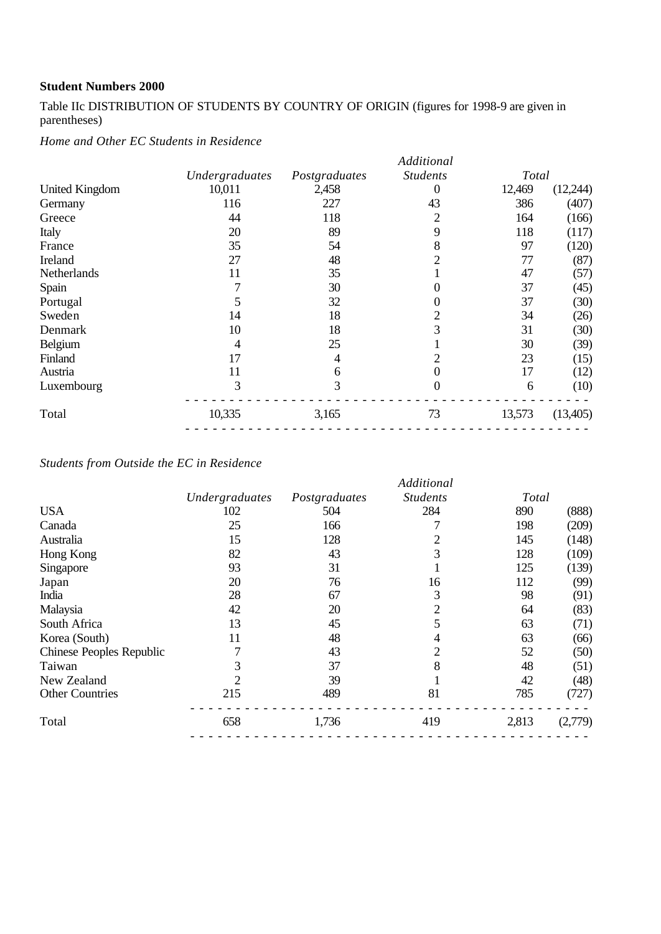Table IIc DISTRIBUTION OF STUDENTS BY COUNTRY OF ORIGIN (figures for 1998-9 are given in parentheses)

*Home and Other EC Students in Residence*

|                       |                |               | Additional      |        |          |
|-----------------------|----------------|---------------|-----------------|--------|----------|
|                       | Undergraduates | Postgraduates | <b>Students</b> | Total  |          |
| <b>United Kingdom</b> | 10,011         | 2,458         | 0               | 12,469 | (12,244) |
| Germany               | 116            | 227           | 43              | 386    | (407)    |
| Greece                | 44             | 118           | 2               | 164    | (166)    |
| Italy                 | 20             | 89            | 9               | 118    | (117)    |
| France                | 35             | 54            | 8               | 97     | (120)    |
| Ireland               | 27             | 48            |                 | 77     | (87)     |
| Netherlands           | 11             | 35            |                 | 47     | (57)     |
| Spain                 |                | 30            |                 | 37     | (45)     |
| Portugal              |                | 32            |                 | 37     | (30)     |
| Sweden                | 14             | 18            |                 | 34     | (26)     |
| Denmark               | 10             | 18            |                 | 31     | (30)     |
| <b>Belgium</b>        | 4              | 25            |                 | 30     | (39)     |
| Finland               | 17             | 4             |                 | 23     | (15)     |
| Austria               | 11             | 6             | 0               | 17     | (12)     |
| Luxembourg            | 3              | 3             | $\mathbf{0}$    | 6      | (10)     |
| Total                 | 10,335         | 3,165         | 73              | 13,573 | (13,405) |
|                       |                |               |                 |        |          |

*Students from Outside the EC in Residence*

|                                 |                |               | Additional      |       |         |
|---------------------------------|----------------|---------------|-----------------|-------|---------|
|                                 | Undergraduates | Postgraduates | <b>Students</b> | Total |         |
| <b>USA</b>                      | 102            | 504           | 284             | 890   | (888)   |
| Canada                          | 25             | 166           |                 | 198   | (209)   |
| Australia                       | 15             | 128           |                 | 145   | (148)   |
| Hong Kong                       | 82             | 43            | 3               | 128   | (109)   |
| Singapore                       | 93             | 31            |                 | 125   | (139)   |
| Japan                           | 20             | 76            | 16              | 112   | (99)    |
| India                           | 28             | 67            | 3               | 98    | (91)    |
| Malaysia                        | 42             | 20            | 2               | 64    | (83)    |
| South Africa                    | 13             | 45            |                 | 63    | (71)    |
| Korea (South)                   | 11             | 48            |                 | 63    | (66)    |
| <b>Chinese Peoples Republic</b> |                | 43            |                 | 52    | (50)    |
| Taiwan                          | 3              | 37            | 8               | 48    | (51)    |
| New Zealand                     | 2              | 39            |                 | 42    | (48)    |
| <b>Other Countries</b>          | 215            | 489           | 81              | 785   | (727)   |
| Total                           | 658            | 1,736         | 419             | 2,813 | (2,779) |
|                                 |                |               |                 |       |         |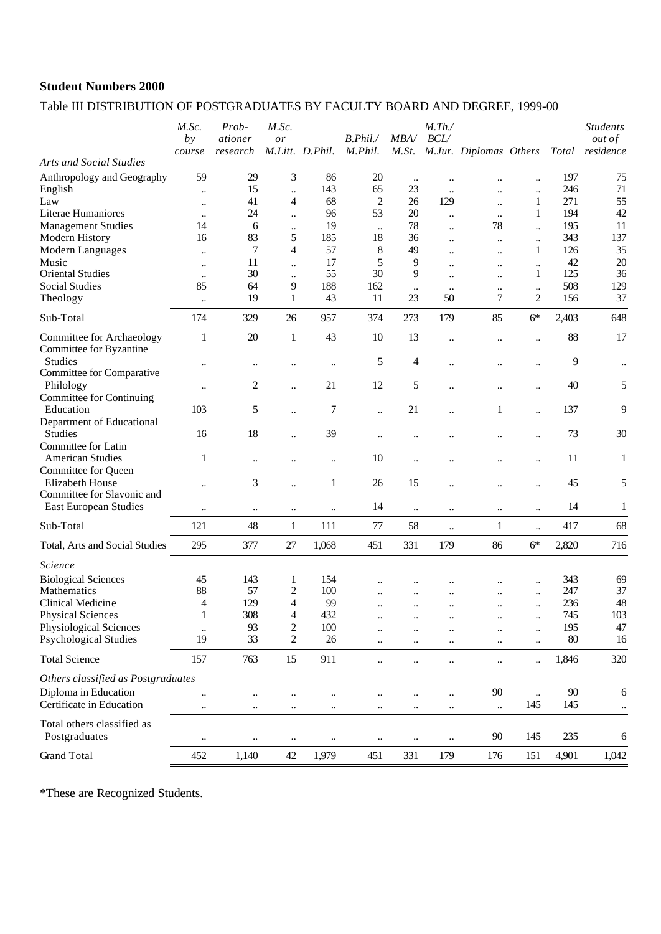## Table III DISTRIBUTION OF POSTGRADUATES BY FACULTY BOARD AND DEGREE, 1999-00

|                                                            | M.Sc.<br>by<br>course             | Prob-<br>ationer<br>research | M.Sc.<br>or                      | M.Litt. D.Phil.                   | B. Phil.<br>M.Phil.  | MBA/                 | $M$ .Th./<br>BCL      | M.St. M.Jur. Diplomas Others |                                              | Total         | <b>Students</b><br><i>out of</i><br>residence |
|------------------------------------------------------------|-----------------------------------|------------------------------|----------------------------------|-----------------------------------|----------------------|----------------------|-----------------------|------------------------------|----------------------------------------------|---------------|-----------------------------------------------|
| <b>Arts and Social Studies</b>                             |                                   |                              |                                  |                                   |                      |                      |                       |                              |                                              |               |                                               |
| Anthropology and Geography<br>English                      | 59                                | 29<br>15                     | 3<br>$\ddot{\phantom{a}}$        | 86<br>143                         | 20<br>65             | $\ddotsc$<br>23      | $\ddotsc$             |                              | $\ddot{\phantom{a}}$                         | 197<br>246    | 75<br>71                                      |
| Law                                                        | $\ddot{\phantom{0}}$<br>$\ddotsc$ | 41                           | 4                                | 68                                | $\overline{c}$       | 26                   | $\ldots$<br>129       | $\ddot{\phantom{a}}$         | $\ddot{\phantom{a}}$<br>1                    | 271           | 55                                            |
| Literae Humaniores                                         | $\ddotsc$                         | 24                           | $\ddot{\phantom{a}}$             | 96                                | 53                   | 20                   | $\ddotsc$             | $\ddotsc$                    | 1                                            | 194           | 42                                            |
| <b>Management Studies</b>                                  | 14                                | 6                            | $\ldots$                         | 19                                | $\ddotsc$            | 78                   | $\ddotsc$             | 78                           | $\ddot{\phantom{a}}$                         | 195           | 11                                            |
| Modern History                                             | 16                                | 83                           | 5                                | 185                               | 18                   | 36                   | $\ddot{\phantom{a}}$  | $\ddotsc$                    | $\ddot{\phantom{a}}$                         | 343           | 137                                           |
| Modern Languages                                           | $\ddot{\phantom{a}}$              | 7                            | 4                                | 57                                | 8                    | 49                   | $\ddot{\phantom{a}}$  | $\ldots$                     | 1                                            | 126           | 35                                            |
| Music<br><b>Oriental Studies</b>                           | $\ddotsc$                         | 11<br>30                     | $\ddotsc$                        | 17<br>55                          | 5<br>30              | 9<br>9               | $\ddotsc$             | $\ddotsc$                    | $\ddotsc$<br>1                               | 42<br>125     | 20<br>36                                      |
| <b>Social Studies</b>                                      | $\ddot{\phantom{0}}$<br>85        | 64                           | $\ddot{\phantom{0}}$<br>9        | 188                               | 162                  |                      | $\ddot{\phantom{a}}$  | $\ddot{\phantom{0}}$         |                                              | 508           | 129                                           |
| Theology                                                   | $\ddot{\phantom{a}}$              | 19                           | $\mathbf{1}$                     | 43                                | 11                   | $\ddotsc$<br>23      | $\ddotsc$<br>50       | $\ddotsc$<br>$\overline{7}$  | $\ddot{\phantom{a}}$<br>$\overline{c}$       | 156           | 37                                            |
| Sub-Total                                                  | 174                               | 329                          | 26                               | 957                               | 374                  | 273                  | 179                   | 85                           | $6*$                                         | 2,403         | 648                                           |
| Committee for Archaeology<br>Committee for Byzantine       | 1                                 | 20                           | $\mathbf{1}$                     | 43                                | 10                   | 13                   | $\ddot{\phantom{0}}$  |                              | $\ddot{\phantom{a}}$                         | 88            | 17                                            |
| Studies<br>Committee for Comparative                       |                                   | $\ddot{\phantom{0}}$         |                                  | $\ddotsc$                         | 5                    | 4                    | $\ddot{\phantom{0}}$  |                              | $\ddot{\phantom{a}}$                         | 9             | $\ddotsc$                                     |
| Philology<br><b>Committee for Continuing</b>               | $\ddot{\phantom{0}}$              | $\overline{c}$               | $\ddot{\phantom{0}}$             | 21                                | 12                   | 5                    |                       |                              | $\ddot{\phantom{a}}$                         | 40            | 5                                             |
| Education                                                  | 103                               | 5                            | $\ddotsc$                        | 7                                 | $\ddot{\phantom{a}}$ | 21                   | $\ddot{\phantom{a}}$  | 1                            | $\ddot{\phantom{a}}$                         | 137           | 9                                             |
| Department of Educational<br><b>Studies</b>                | 16                                | 18                           | $\ddot{\phantom{0}}$             | 39                                | $\ddot{\phantom{0}}$ |                      |                       |                              | $\ddot{\phantom{0}}$                         | 73            | 30                                            |
| Committee for Latin<br><b>American Studies</b>             | 1                                 | $\ddotsc$                    | $\ddot{\phantom{a}}$             | $\ddot{\phantom{a}}$              | 10                   | $\ddot{\phantom{a}}$ |                       |                              | $\ddotsc$                                    | 11            | $\mathbf{1}$                                  |
| Committee for Queen<br>Elizabeth House                     | $\ddot{\phantom{a}}$              | 3                            | $\ddot{\phantom{a}}$             | $\mathbf{1}$                      | 26                   | 15                   |                       |                              | $\ddotsc$                                    | 45            | 5                                             |
| Committee for Slavonic and<br>East European Studies        |                                   | $\ddot{\phantom{0}}$         |                                  | $\ddot{\phantom{a}}$              | 14                   | $\ddotsc$            |                       |                              | $\ddot{\phantom{a}}$                         | 14            | 1                                             |
| Sub-Total                                                  | 121                               | 48                           | $\mathbf{1}$                     | 111                               | 77                   | 58                   | $\ddot{\phantom{a}}$  | $\mathbf{1}$                 | $\ddot{\phantom{a}}$                         | 417           | 68                                            |
| Total, Arts and Social Studies                             | 295                               | 377                          | 27                               | 1,068                             | 451                  | 331                  | 179                   | 86                           | $6*$                                         | 2,820         | 716                                           |
| Science                                                    |                                   |                              |                                  |                                   |                      |                      |                       |                              |                                              |               |                                               |
| <b>Biological Sciences</b>                                 | 45                                | 143                          | 1                                | 154                               |                      |                      |                       | $\ddot{\phantom{a}}$         | $\ddotsc$                                    | 343           | 69                                            |
| Mathematics                                                | 88                                | 57                           | 2                                | 100                               | $\ddot{\phantom{a}}$ |                      | $\ddotsc$             |                              | $\ddot{\phantom{a}}$                         | 247           | 37                                            |
| Clinical Medicine                                          | 4                                 | 129                          | 4                                | 99                                |                      | $\ddot{\phantom{a}}$ | $\ddotsc$             | $\ddotsc$                    | $\ddotsc$                                    | 236           | 48                                            |
| <b>Physical Sciences</b>                                   | $\mathbf{1}$                      | 308                          | $\overline{\mathbf{4}}$          | 432                               |                      |                      |                       |                              | $\ddotsc$                                    | 745           | 103                                           |
| Physiological Sciences<br><b>Psychological Studies</b>     | 19                                | 93<br>33                     | $\overline{c}$<br>$\overline{c}$ | 100<br>26                         |                      |                      |                       | <br>                         | $\ddot{\phantom{a}}$<br>$\ddot{\phantom{a}}$ | 195<br>$80\,$ | 47<br>16                                      |
| <b>Total Science</b>                                       | 157                               | 763                          | 15                               | 911                               | $\ddot{\phantom{a}}$ | $\ddotsc$            | $\ldots$              | $\ddotsc$                    | $\ddot{\phantom{a}}$                         | 1,846         | 320                                           |
|                                                            |                                   |                              |                                  |                                   |                      |                      |                       |                              |                                              |               |                                               |
| Others classified as Postgraduates<br>Diploma in Education |                                   |                              |                                  |                                   |                      |                      |                       | 90                           |                                              | 90            |                                               |
| Certificate in Education                                   | $\ddot{\phantom{0}}$<br>          | <br>$\ddotsc$                | <br>$\ldots$                     | $\ddot{\phantom{0}}$<br>$\ddotsc$ | <br>$\ldots$         | <br>$\ldots$         | $\ddotsc$<br>$\ldots$ | $\ddotsc$                    | $\ddot{\phantom{a}}$<br>145                  | 145           | 6<br>$\ddotsc$                                |
| Total others classified as<br>Postgraduates                | $\ddotsc$                         | $\ddotsc$                    | $\ddotsc$                        | $\ddotsc$                         |                      |                      | $\ddotsc$             | 90                           | 145                                          | 235           | 6                                             |
| <b>Grand Total</b>                                         | 452                               | 1,140                        | 42                               | 1,979                             | 451                  | 331                  | 179                   | 176                          | 151                                          | 4,901         | 1,042                                         |

\*These are Recognized Students.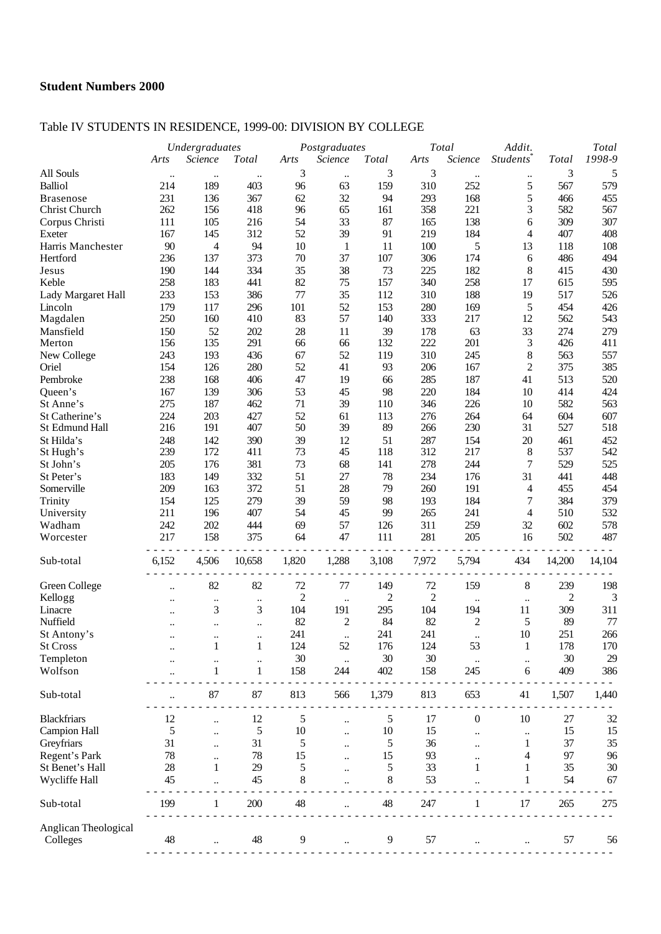## Table IV STUDENTS IN RESIDENCE, 1999-00: DIVISION BY COLLEGE

|                                  |                      | Undergraduates           |                      | Postgraduates  |                      |                | Total          | Addit.                    |                          | Total      |            |
|----------------------------------|----------------------|--------------------------|----------------------|----------------|----------------------|----------------|----------------|---------------------------|--------------------------|------------|------------|
|                                  | Arts                 | Science                  | <b>Total</b>         | Arts           | Science              | Total          | Arts           | Science                   | Students <sup>®</sup>    | Total      | 1998-9     |
| All Souls                        | $\ddot{\phantom{0}}$ | $\ddotsc$                | $\ddot{\phantom{0}}$ | 3              | $\ldots$             | 3              | 3              |                           | $\ldots$                 | 3          | 5          |
| <b>Balliol</b>                   | 214                  | 189                      | 403                  | 96             | 63                   | 159            | 310            | 252                       | 5                        | 567        | 579        |
| <b>Brasenose</b>                 | 231                  | 136                      | 367                  | 62             | 32                   | 94             | 293            | 168                       | 5                        | 466        | 455        |
| Christ Church                    | 262                  | 156                      | 418                  | 96             | 65                   | 161            | 358            | 221                       | 3                        | 582        | 567        |
| Corpus Christi                   | 111                  | 105                      | 216                  | 54             | 33                   | 87             | 165            | 138                       | 6                        | 309        | 307        |
| Exeter                           | 167                  | 145                      | 312                  | 52             | 39                   | 91             | 219            | 184                       | 4                        | 407        | 408        |
| Harris Manchester                | 90                   | $\overline{\mathcal{L}}$ | 94                   | $10\,$         | 1                    | 11             | 100            | 5                         | 13                       | 118        | 108        |
| Hertford                         | 236                  | 137                      | 373                  | 70             | 37                   | 107            | 306            | 174                       | 6                        | 486        | 494        |
| Jesus                            | 190                  | 144                      | 334                  | 35             | 38                   | 73             | 225            | 182                       | 8                        | 415        | 430        |
| Keble                            | 258                  | 183                      | 441                  | 82             | 75                   | 157            | 340            | 258                       | 17                       | 615        | 595        |
| Lady Margaret Hall               | 233                  | 153                      | 386                  | 77             | 35                   | 112            | 310            | 188                       | 19                       | 517        | 526        |
| Lincoln                          | 179                  | 117                      | 296                  | 101            | 52                   | 153            | 280            | 169                       | 5                        | 454        | 426        |
| Magdalen                         | 250                  | 160                      | 410                  | 83             | 57                   | 140            | 333            | 217                       | 12                       | 562        | 543        |
| Mansfield                        | 150                  | 52                       | 202                  | 28             | 11                   | 39             | 178            | 63                        | 33                       | 274        | 279        |
| Merton                           | 156                  | 135                      | 291                  | 66             | 66                   | 132            | 222            | 201                       | 3                        | 426        | 411        |
| New College                      | 243                  | 193                      | 436                  | 67             | 52                   | 119            | 310            | 245                       | 8                        | 563        | 557        |
| Oriel                            | 154                  | 126                      | 280                  | 52             | 41                   | 93             | 206            | 167                       | $\overline{2}$           | 375        | 385        |
| Pembroke                         | 238                  | 168                      | 406                  | 47             | 19                   | 66             | 285            | 187                       | 41                       | 513        | 520        |
| Queen's                          | 167                  | 139                      | 306                  | 53             | 45                   | 98             | 220            | 184                       | 10                       | 414        | 424        |
| St Anne's                        | 275                  | 187                      | 462                  | 71             | 39                   | 110            | 346            | 226                       | 10                       | 582        | 563        |
| St Catherine's                   | 224                  | 203                      | 427                  | 52             | 61                   | 113            | 276            | 264                       | 64                       | 604        | 607        |
| St Edmund Hall                   | 216                  | 191                      | 407                  | 50             | 39                   | 89             | 266            | 230                       | 31                       | 527        | 518        |
| St Hilda's                       | 248                  | 142                      | 390                  | 39             | 12                   | 51             | 287            | 154                       | 20                       | 461        | 452        |
| St Hugh's                        | 239                  | 172                      | 411                  | 73             | 45                   | 118            | 312            | 217                       | $8\,$                    | 537        | 542        |
| St John's                        | 205                  | 176                      | 381                  | 73             | 68                   | 141            | 278            | 244                       | $\tau$                   | 529        | 525        |
| St Peter's                       | 183                  | 149                      | 332                  | 51             | 27                   | 78             | 234            | 176                       | 31                       | 441        | 448        |
| Somerville                       | 209                  | 163                      | 372                  | 51             | 28                   | 79             | 260            | 191                       | 4                        | 455        | 454        |
|                                  |                      |                          | 279                  | 39             |                      |                |                | 184                       |                          | 384        |            |
| Trinity                          | 154<br>211           | 125<br>196               | 407                  | 54             | 59<br>45             | 98<br>99       | 193<br>265     | 241                       | 7                        | 510        | 379<br>532 |
| University                       |                      |                          |                      |                | 57                   |                |                |                           | $\overline{\mathcal{L}}$ |            |            |
| Wadham                           | 242<br>217           | 202<br>158               | 444<br>375           | 69<br>64       | 47                   | 126<br>111     | 311<br>281     | 259<br>205                | 32<br>16                 | 602<br>502 | 578<br>487 |
| Worcester                        |                      |                          |                      |                |                      |                |                |                           |                          |            |            |
| Sub-total                        | 6,152                | 4,506                    | 10,658               | 1,820          | 1,288                | 3,108          | 7,972          | 5,794                     | 434                      | 14,200     | 14,104     |
|                                  |                      |                          |                      |                |                      |                |                |                           |                          |            |            |
| Green College                    | $\ddot{\phantom{0}}$ | 82                       | 82                   | 72             | 77                   | 149            | $72\,$         | 159                       | $8\,$                    | 239        | 198        |
| Kellogg                          |                      | $\ddotsc$                | $\ddotsc$            | $\overline{c}$ | $\ddotsc$            | $\overline{c}$ | $\overline{c}$ | $\ddot{\phantom{0}}\cdot$ | $\ddotsc$                | 2          | 3          |
| Linacre                          |                      | 3                        | 3                    | 104            | 191                  | 295            | 104            | 194                       | 11                       | 309        | 311        |
| Nuffield                         |                      | $\ddotsc$                | $\ddotsc$            | 82             | 2                    | 84             | 82             | $\mathfrak{2}$            | 5                        | 89         | 77         |
| St Antony's                      |                      |                          |                      | 241            |                      | 241            | 241            |                           | $10\,$                   | 251        | 266        |
| St Cross                         |                      |                          | $\mathbf{1}$         | 124            | 52                   | 176            | 124            | 53                        | 1                        | 178        | 170        |
| Templeton                        |                      | $\ddot{\phantom{0}}$     | $\ddotsc$            | 30             | $\ddotsc$            | 30             | 30             | $\ddotsc$                 | $\ldots$                 | 30         | 29         |
| Wolfson                          |                      | 1                        | $\mathbf{1}$         | 158            | 244                  | 402            | 158            | 245                       | 6                        | 409        | 386        |
| Sub-total                        |                      | 87                       | 87                   | 813            | 566                  | 1,379          | 813            | 653                       | 41                       | 1,507      | 1,440      |
| <b>Blackfriars</b>               | 12                   |                          | 12                   | 5              | $\ddotsc$            | 5              | 17             | $\boldsymbol{0}$          | 10                       | 27         | 32         |
| <b>Campion Hall</b>              | 5                    | $\ddot{\phantom{0}}$     | 5                    | $10\,$         | $\ddot{\phantom{a}}$ | 10             | 15             |                           |                          | 15         | 15         |
| Greyfriars                       | 31                   | $\ddot{\phantom{a}}$     | 31                   | 5              | $\ddotsc$            | 5              | 36             |                           | 1                        | 37         | 35         |
| Regent's Park                    | 78                   | $\ddot{\phantom{0}}$     | 78                   | 15             |                      | 15             | 93             |                           | 4                        | 97         | 96         |
| St Benet's Hall                  | 28                   | 1                        | 29                   | 5              |                      | 5              | 33             | 1                         | 1                        | 35         | 30         |
| Wycliffe Hall                    | 45                   |                          | 45                   | 8              |                      | 8              | 53             |                           | 1                        | 54         | 67         |
|                                  |                      |                          |                      |                |                      |                |                |                           |                          |            |            |
| Sub-total                        | 199                  | 1                        | 200                  | 48             |                      | $\sqrt{48}$    | 247            | 1                         | 17                       | 265        | 275        |
| Anglican Theological<br>Colleges | 48                   |                          | $48\,$               | 9              |                      | $\overline{9}$ | 57             |                           |                          | 57         | 56         |
|                                  |                      |                          |                      |                |                      |                |                |                           |                          |            |            |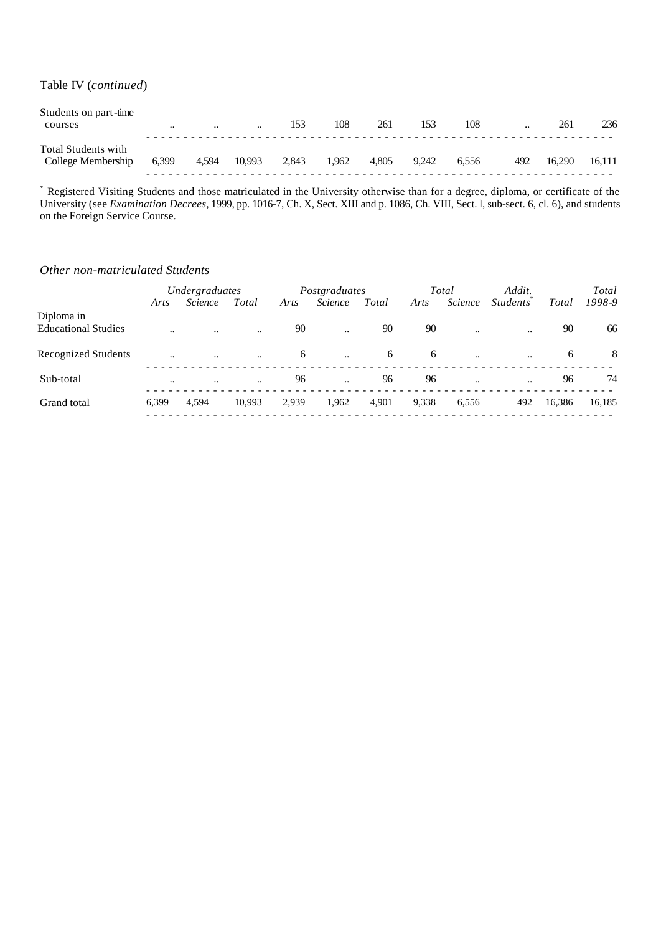#### Table IV (*continued*)

| Students on part-time<br>courses          | $\ddotsc$ | $\cdot$ | $\ddotsc$ | 153   | 108   | 261   | 153   | 108   | $\ddotsc$ | 261    | 236    |
|-------------------------------------------|-----------|---------|-----------|-------|-------|-------|-------|-------|-----------|--------|--------|
| Total Students with<br>College Membership | 6,399     | 4,594   | 10.993    | 2,843 | 1.962 | 4.805 | 9.242 | 6.556 | 492       | 16.290 | 16.111 |

\* Registered Visiting Students and those matriculated in the University otherwise than for a degree, diploma, or certificate of the University (see *Examination Decrees*, 1999, pp. 1016-7, Ch. X, Sect. XIII and p. 1086, Ch. VIII, Sect. l, sub-sect. 6, cl. 6), and students on the Foreign Service Course.

#### *Other non-matriculated Students*

|                            | Undergraduates       |           |           |       | Postgraduates |       |       | Total                | Addit.                       |        | Total  |
|----------------------------|----------------------|-----------|-----------|-------|---------------|-------|-------|----------------------|------------------------------|--------|--------|
|                            | Arts                 | Science   | Total     | Arts  | Science       | Total | Arts  | Science              | <i>Students</i> <sup>*</sup> | Total  | 1998-9 |
| Diploma in                 |                      |           |           |       |               |       |       |                      |                              |        |        |
| <b>Educational Studies</b> | $\ddotsc$            | $\ddotsc$ | $\ddotsc$ | 90    |               | 90    | 90    | $\ddotsc$            | $\ddotsc$                    | 90     | 66     |
| <b>Recognized Students</b> | $\ddot{\phantom{a}}$ | $\ddotsc$ | $\ddotsc$ | 6     | $\ddotsc$     | 6     | 6     | $\ddotsc$            | $\ddotsc$                    | 6      | 8      |
| Sub-total                  | $\ddotsc$            | $\ddotsc$ | $\ddotsc$ | 96    |               | 96    | 96    | $\ddot{\phantom{a}}$ | $\ddotsc$                    | 96     | 74     |
| Grand total                | 6.399                | 4.594     | 10.993    | 2,939 | 1,962         | 4,901 | 9,338 | 6,556                | 492                          | 16,386 | 16,185 |
|                            |                      |           |           |       |               |       |       |                      |                              |        |        |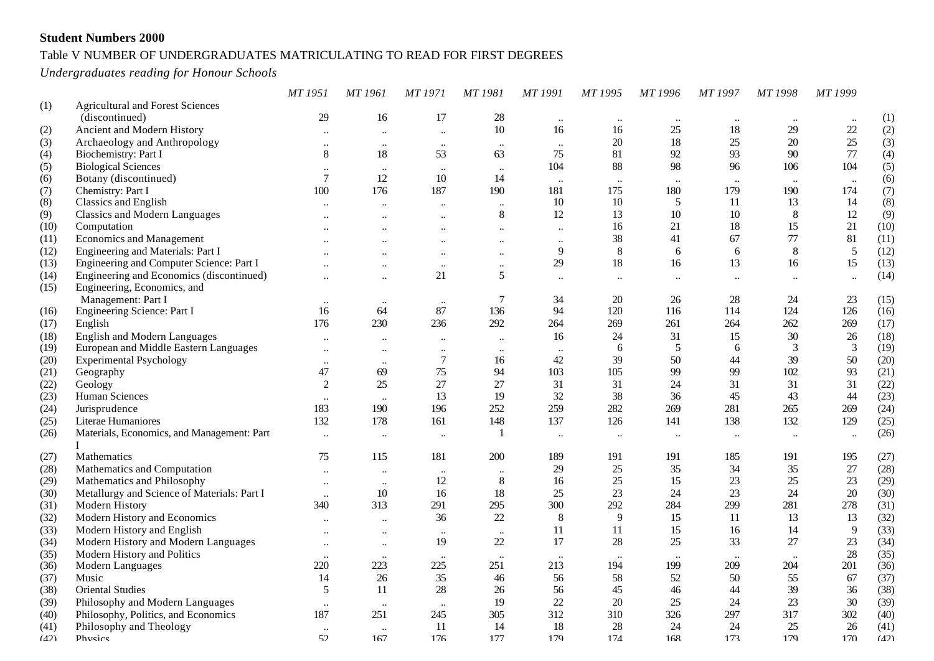### Table V NUMBER OF UNDERGRADUATES MATRICULATING TO READ FOR FIRST DEGREES

*Undergraduates reading for Honour Schools*

|      |                                             | MT 1951                          | MT 1961                           | <b>MT1971</b>                    | MT 1981              | MT 1991              | MT 1995        | MT 1996              | MT 1997              | MT 1998              | MT 1999              |      |
|------|---------------------------------------------|----------------------------------|-----------------------------------|----------------------------------|----------------------|----------------------|----------------|----------------------|----------------------|----------------------|----------------------|------|
| (1)  | <b>Agricultural and Forest Sciences</b>     |                                  |                                   |                                  |                      |                      |                |                      |                      |                      |                      |      |
|      | (discontinued)                              | 29                               | 16                                | 17                               | 28                   | $\ddotsc$            | $\ddotsc$      |                      | $\ddotsc$            |                      |                      | (1)  |
| (2)  | Ancient and Modern History                  | $\ddot{\phantom{0}}\cdot$        | $\ddotsc$                         | $\ldots$                         | 10                   | 16                   | 16             | 25                   | 18                   | 29                   | $22\,$               | (2)  |
| (3)  | Archaeology and Anthropology                | $\ddotsc$                        | $\ddotsc$                         | $\ddotsc$                        | $\ddotsc$            | $\ddots$             | 20             | 18                   | 25                   | 20                   | 25                   | (3)  |
| (4)  | Biochemistry: Part I                        | 8                                | 18                                | 53                               | 63                   | 75                   | 81             | 92                   | 93                   | 90                   | 77                   | (4)  |
| (5)  | <b>Biological Sciences</b>                  | $\ldots$                         | $\ddotsc$                         | $\ddotsc$                        | $\ddotsc$            | 104                  | 88             | 98                   | 96                   | 106                  | 104                  | (5)  |
| (6)  | Botany (discontinued)                       | $\overline{7}$                   | 12                                | 10                               | 14                   | $\ldots$             | $\ldots$       | $\ddots$             | $\ddotsc$            | $\ddotsc$            | $\ddots$             | (6)  |
| (7)  | Chemistry: Part I                           | 100                              | 176                               | 187                              | 190                  | 181                  | 175            | 180                  | 179                  | 190                  | 174                  | (7)  |
| (8)  | Classics and English                        | $\ddot{\phantom{a}}$             |                                   |                                  | $\ddots$             | 10                   | 10             | 5                    | 11                   | 13                   | 14                   | (8)  |
| (9)  | <b>Classics and Modern Languages</b>        | $\ddotsc$                        | $\ddot{\phantom{a}}$              | $\ddotsc$                        | $\,8\,$              | 12                   | 13             | 10                   | 10                   | $\,8\,$              | 12                   | (9)  |
| (10) | Computation                                 | $\ddotsc$                        |                                   | $\ddotsc$                        | $\ddotsc$            | $\ddot{\phantom{a}}$ | 16             | 21                   | 18                   | 15                   | 21                   | (10) |
| (11) | <b>Economics and Management</b>             | $\ddot{\phantom{a}}$             | $\ddot{\phantom{a}}$              | $\ddot{\phantom{a}}$             | $\ddot{\phantom{a}}$ | $\ddotsc$            | 38             | 41                   | 67                   | 77                   | 81                   | (11) |
| (12) | Engineering and Materials: Part I           |                                  | $\ddot{\phantom{a}}$              | $\ddotsc$                        | $\ddotsc$            | 9                    | $8\phantom{.}$ | 6                    | 6                    | $\,8\,$              | 5                    | (12) |
| (13) | Engineering and Computer Science: Part I    | $\ddot{\phantom{a}}$             | $\ddotsc$                         | $\ddotsc$                        | $\ddotsc$            | 29                   | 18             | 16                   | 13                   | 16                   | 15                   | (13) |
| (14) | Engineering and Economics (discontinued)    | $\ddotsc$                        | $\ddot{\phantom{a}}$              | 21                               | 5                    | $\ddotsc$            | $\ddotsc$      | $\ddot{\phantom{a}}$ | $\ddot{\phantom{a}}$ | $\ddot{\phantom{a}}$ | $\ddot{\phantom{a}}$ | (14) |
| (15) | Engineering, Economics, and                 |                                  |                                   |                                  |                      |                      |                |                      |                      |                      |                      |      |
|      | Management: Part I                          | $\ddotsc$                        | $\ddotsc$                         | $\ddotsc$                        | 7                    | 34                   | $20\,$         | 26                   | 28                   | 24                   | 23                   | (15) |
| (16) | Engineering Science: Part I                 | 16                               | 64                                | 87                               | 136                  | 94                   | 120            | 116                  | 114                  | 124                  | 126                  | (16) |
| (17) | English                                     | 176                              | 230                               | 236                              | 292                  | 264                  | 269            | 261                  | 264                  | 262                  | 269                  | (17) |
| (18) | <b>English and Modern Languages</b>         | $\ddot{\phantom{a}}$             |                                   | $\ddot{\phantom{a}}$             |                      | 16                   | 24             | 31                   | 15                   | 30                   | $26\,$               | (18) |
| (19) | European and Middle Eastern Languages       | $\ldots$                         | $\ddot{\phantom{0}}$<br>$\ddotsc$ |                                  | $\ddotsc$            | $\ddotsc$            | 6              | 5                    | 6                    | $\mathfrak{Z}$       | $\mathfrak{Z}$       | (19) |
| (20) | <b>Experimental Psychology</b>              |                                  |                                   | $\ddotsc$<br>$\boldsymbol{7}$    | $\cdots$<br>16       | 42                   | 39             | 50                   | 44                   | 39                   | 50                   | (20) |
| (21) | Geography                                   | $\ldots$<br>47                   | $\ddotsc$<br>69                   | 75                               | 94                   | 103                  | 105            | 99                   | 99                   | 102                  | 93                   | (21) |
| (22) | Geology                                     | $\overline{c}$                   | 25                                | 27                               | 27                   | 31                   | 31             | 24                   | 31                   | 31                   | 31                   | (22) |
| (23) | Human Sciences                              | $\ddot{\phantom{a}}$             | $\ddot{\phantom{a}}$              | 13                               | 19                   | 32                   | 38             | 36                   | 45                   | 43                   | 44                   | (23) |
| (24) | Jurisprudence                               | 183                              | 190                               | 196                              | 252                  | 259                  | 282            | 269                  | 281                  | 265                  | 269                  | (24) |
| (25) | Literae Humaniores                          | 132                              | 178                               | 161                              | 148                  | 137                  | 126            | 141                  | 138                  | 132                  | 129                  | (25) |
| (26) | Materials, Economics, and Management: Part  | $\ddot{\phantom{a}}$             | $\ddot{\phantom{0}}$              | $\ddot{\phantom{a}}$             | $\mathbf{1}$         | $\ddot{\phantom{a}}$ | $\ddotsc$      | $\ddotsc$            | $\ddotsc$            | $\ddot{\phantom{a}}$ | $\ddotsc$            | (26) |
|      | L                                           |                                  |                                   |                                  |                      |                      |                |                      |                      |                      |                      |      |
| (27) | Mathematics                                 | 75                               | 115                               | 181                              | 200                  | 189                  | 191            | 191                  | 185                  | 191                  | 195                  | (27) |
| (28) | Mathematics and Computation                 | $\ddot{\phantom{0}}\cdot$        | $\ddot{\phantom{0}}$              | $\ddot{\phantom{0}}\cdot$        |                      | 29                   | $25\,$         | 35                   | 34                   | 35                   | 27                   | (28) |
| (29) | Mathematics and Philosophy                  | $\ddotsc$                        | $\ldots$                          | 12                               | $8\,$                | 16                   | 25             | 15                   | 23                   | 25                   | 23                   | (29) |
| (30) | Metallurgy and Science of Materials: Part I | $\ddot{\phantom{0}}\cdot$        | $10\,$                            | 16                               | 18                   | 25                   | 23             | 24                   | 23                   | 24                   | 20                   | (30) |
| (31) | Modern History                              | 340                              | 313                               | 291                              | 295                  | 300                  | 292            | 284                  | 299                  | 281                  | 278                  | (31) |
| (32) | Modern History and Economics                | $\ddot{\phantom{0}}$             | $\ddot{\phantom{0}}$              | 36                               | $22\,$               | 8                    | 9              | 15                   | 11                   | 13                   | 13                   | (32) |
| (33) | Modern History and English                  | $\ddotsc$                        |                                   |                                  | $\ddotsc$            | 11                   | 11             | 15                   | 16                   | 14                   | 9                    | (33) |
| (34) | Modern History and Modern Languages         |                                  | $\ddotsc$                         | $\ddotsc$<br>19                  | 22                   | 17                   | 28             | 25                   | 33                   | 27                   | 23                   | (34) |
| (35) | Modern History and Politics                 | $\ddotsc$                        | $\ldots$                          |                                  |                      |                      |                |                      |                      |                      | 28                   | (35) |
| (36) | Modern Languages                            | $\ddotsc$<br>220                 | $\ddotsc$<br>223                  | $\ddotsc$<br>225                 | $\ddotsc$<br>251     | $\ddotsc$<br>213     | 194            | 199                  | $\ddotsc$<br>209     | $\ddotsc$<br>204     | 201                  | (36) |
| (37) | Music                                       | 14                               | 26                                | 35                               | 46                   | 56                   | 58             | 52                   | 50                   | 55                   | 67                   | (37) |
| (38) | <b>Oriental Studies</b>                     | 5                                | 11                                | 28                               | 26                   | 56                   | 45             | 46                   | 44                   | 39                   | 36                   | (38) |
| (39) | Philosophy and Modern Languages             |                                  |                                   |                                  | 19                   | 22                   | $20\,$         | 25                   | 24                   | 23                   | $30\,$               | (39) |
| (40) | Philosophy, Politics, and Economics         | $\ddot{\phantom{0}}\cdot$<br>187 | $\ddotsc$<br>251                  | $\ddot{\phantom{0}}\cdot$<br>245 | 305                  | 312                  | 310            | 326                  | 297                  | 317                  | 302                  | (40) |
| (41) | Philosophy and Theology                     |                                  |                                   | 11                               | 14                   | 18                   | 28             | 24                   | 24                   | 25                   | 26                   | (41) |
| (42) | Physics                                     | $\ddot{\phantom{0}}\cdot$<br>52  | <br>167                           | 176                              | 177                  | 179                  | 174            | 168                  | 173                  | 179                  | 170                  | (42) |
|      |                                             |                                  |                                   |                                  |                      |                      |                |                      |                      |                      |                      |      |